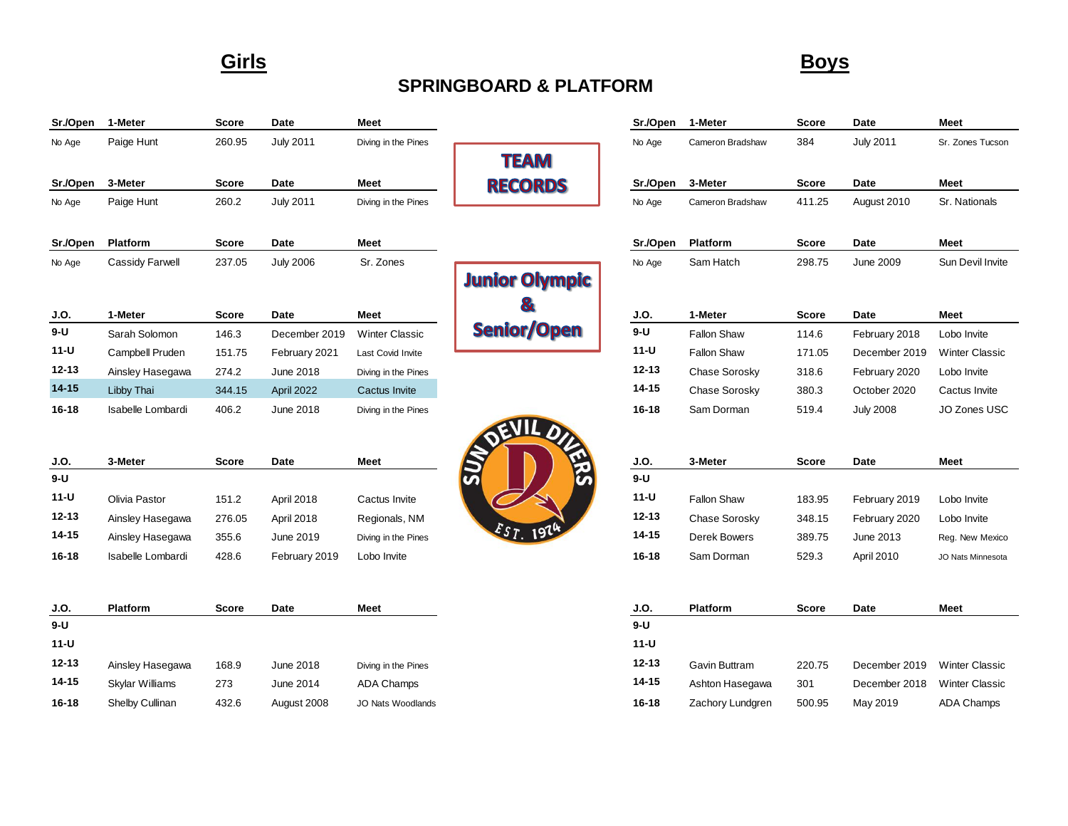### **Girls Boys**

## **SPRINGBOARD & PLATFORM**

| Sr./Open  | 1-Meter                | <b>Score</b> | Date             | Meet                     |                       | Sr./Open  | 1-Meter            | <b>Score</b> | Date             | <b>Meet</b>           |
|-----------|------------------------|--------------|------------------|--------------------------|-----------------------|-----------|--------------------|--------------|------------------|-----------------------|
| No Age    | Paige Hunt             | 260.95       | <b>July 2011</b> | Diving in the Pines      |                       | No Age    | Cameron Bradshaw   | 384          | <b>July 2011</b> | Sr. Zones Tucson      |
|           |                        |              |                  |                          | <b>TEAM</b>           |           |                    |              |                  |                       |
| Sr./Open  | 3-Meter                | <b>Score</b> | Date             | Meet                     | <b>RECORDS</b>        | Sr./Open  | 3-Meter            | <b>Score</b> | Date             | Meet                  |
| No Age    | Paige Hunt             | 260.2        | <b>July 2011</b> | Diving in the Pines      |                       | No Age    | Cameron Bradshaw   | 411.25       | August 2010      | Sr. Nationals         |
| Sr./Open  | Platform               | <b>Score</b> | Date             | Meet                     |                       | Sr./Open  | Platform           | <b>Score</b> | Date             | Meet                  |
| No Age    | Cassidy Farwell        | 237.05       | <b>July 2006</b> | Sr. Zones                |                       | No Age    | Sam Hatch          | 298.75       | <b>June 2009</b> | Sun Devil Invite      |
|           |                        |              |                  |                          | <b>Junior Olympic</b> |           |                    |              |                  |                       |
| J.O.      | 1-Meter                | <b>Score</b> | Date             | Meet                     | $\mathbf{\&}$         | J.O.      | 1-Meter            | Score        | <b>Date</b>      | Meet                  |
| $9-U$     | Sarah Solomon          | 146.3        | December 2019    | <b>Winter Classic</b>    | <b>Senior/Open</b>    | $9 - U$   | <b>Fallon Shaw</b> | 114.6        | February 2018    | Lobo Invite           |
| $11-U$    | Campbell Pruden        | 151.75       | February 2021    | Last Covid Invite        |                       | $11-U$    | <b>Fallon Shaw</b> | 171.05       | December 2019    | <b>Winter Classic</b> |
| $12 - 13$ | Ainsley Hasegawa       | 274.2        | June 2018        | Diving in the Pines      |                       | $12 - 13$ | Chase Sorosky      | 318.6        | February 2020    | Lobo Invite           |
| $14 - 15$ | Libby Thai             | 344.15       | April 2022       | <b>Cactus Invite</b>     |                       | $14 - 15$ | Chase Sorosky      | 380.3        | October 2020     | Cactus Invite         |
| $16 - 18$ | Isabelle Lombardi      | 406.2        | June 2018        | Diving in the Pines      |                       | $16 - 18$ | Sam Dorman         | 519.4        | <b>July 2008</b> | JO Zones USC          |
|           |                        |              |                  |                          | OEV                   |           |                    |              |                  |                       |
| J.O.      | 3-Meter                | <b>Score</b> | Date             | Meet                     |                       | J.O.      | 3-Meter            | <b>Score</b> | Date             | Meet                  |
| $9-U$     |                        |              |                  |                          | $\overline{S}$        | $9 - U$   |                    |              |                  |                       |
| $11-U$    | Olivia Pastor          | 151.2        | April 2018       | Cactus Invite            |                       | $11-U$    | <b>Fallon Shaw</b> | 183.95       | February 2019    | Lobo Invite           |
| $12 - 13$ | Ainsley Hasegawa       | 276.05       | April 2018       | Regionals, NM            |                       | $12 - 13$ | Chase Sorosky      | 348.15       | February 2020    | Lobo Invite           |
| $14 - 15$ | Ainsley Hasegawa       | 355.6        | June 2019        | Diving in the Pines      | EST. 19               | $14 - 15$ | Derek Bowers       | 389.75       | June 2013        | Reg. New Mexico       |
| 16-18     | Isabelle Lombardi      | 428.6        | February 2019    | Lobo Invite              |                       | $16 - 18$ | Sam Dorman         | 529.3        | April 2010       | JO Nats Minnesota     |
|           |                        |              |                  |                          |                       |           |                    |              |                  |                       |
| J.O.      | Platform               | <b>Score</b> | <b>Date</b>      | Meet                     |                       | J.O.      | Platform           | <b>Score</b> | Date             | Meet                  |
| $9-U$     |                        |              |                  |                          |                       | $9 - U$   |                    |              |                  |                       |
| $11-U$    |                        |              |                  |                          |                       | $11-U$    |                    |              |                  |                       |
| $12 - 13$ | Ainsley Hasegawa       | 168.9        | June 2018        | Diving in the Pines      |                       | $12 - 13$ | Gavin Buttram      | 220.75       | December 2019    | <b>Winter Classic</b> |
| $14 - 15$ | <b>Skylar Williams</b> | 273          | June 2014        | <b>ADA Champs</b>        |                       | $14 - 15$ | Ashton Hasegawa    | 301          | December 2018    | <b>Winter Classic</b> |
| $16 - 18$ | Shelby Cullinan        | 432.6        | August 2008      | <b>JO Nats Woodlands</b> |                       | $16 - 18$ | Zachory Lundgren   | 500.95       | May 2019         | <b>ADA Champs</b>     |
|           |                        |              |                  |                          |                       |           |                    |              |                  |                       |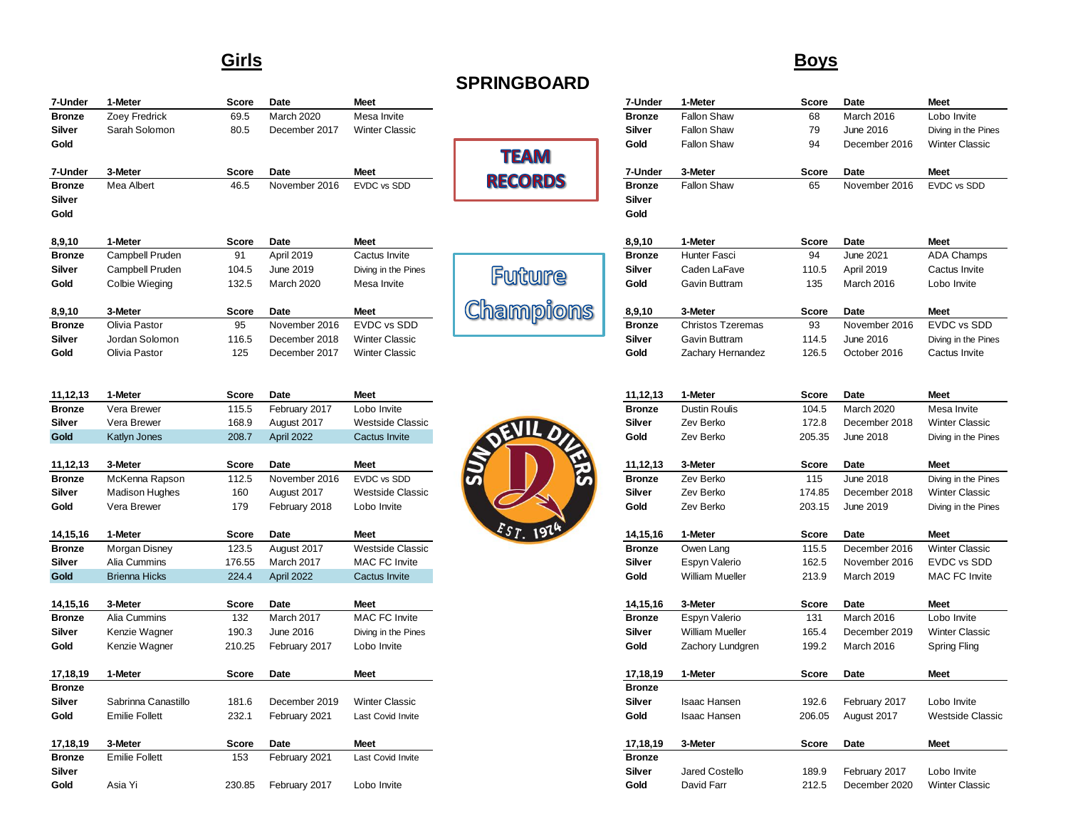#### **Girls Boys**

| 7-Under       | 1-Meter         | <b>Score</b> | Date              | <b>Meet</b>             |                  | 7-Under       | 1-Meter                  | <b>Score</b> | Date          | <b>Meet</b>           |
|---------------|-----------------|--------------|-------------------|-------------------------|------------------|---------------|--------------------------|--------------|---------------|-----------------------|
| <b>Bronze</b> | Zoey Fredrick   | 69.5         | <b>March 2020</b> | Mesa Invite             |                  | <b>Bronze</b> | Fallon Shaw              | 68           | March 2016    | Lobo Invite           |
| Silver        | Sarah Solomon   | 80.5         | December 2017     | <b>Winter Classic</b>   |                  | <b>Silver</b> | <b>Fallon Shaw</b>       | 79           | June 2016     | Diving in the Pines   |
| Gold          |                 |              |                   |                         |                  | Gold          | Fallon Shaw              | 94           | December 2016 | <b>Winter Classic</b> |
|               |                 |              |                   |                         | <b>TEAM</b>      |               |                          |              |               |                       |
| 7-Under       | 3-Meter         | <b>Score</b> | Date              | <b>Meet</b>             |                  | 7-Under       | 3-Meter                  | <b>Score</b> | Date          | <b>Meet</b>           |
| <b>Bronze</b> | Mea Albert      | 46.5         | November 2016     | <b>EVDC</b> vs SDD      | <b>RECORDS</b>   | <b>Bronze</b> | Fallon Shaw              | 65           | November 2016 | <b>EVDC vs SDD</b>    |
| Silver        |                 |              |                   |                         |                  | <b>Silver</b> |                          |              |               |                       |
| Gold          |                 |              |                   |                         |                  | Gold          |                          |              |               |                       |
| 8,9,10        | 1-Meter         | <b>Score</b> | Date              | <b>Meet</b>             |                  | 8,9,10        | 1-Meter                  | <b>Score</b> | Date          | <b>Meet</b>           |
| <b>Bronze</b> | Campbell Pruden | 91           | April 2019        | Cactus Invite           |                  | <b>Bronze</b> | <b>Hunter Fasci</b>      | 94           | June 2021     | <b>ADA Champs</b>     |
| Silver        | Campbell Pruden | 104.5        | June 2019         | Diving in the Pines     |                  | <b>Silver</b> | Caden LaFave             | 110.5        | April 2019    | Cactus Invite         |
| Gold          | Colbie Wieging  | 132.5        | March 2020        | Mesa Invite             | Future           | Gold          | Gavin Buttram            | 135          | March 2016    | Lobo Invite           |
| 8,9,10        | 3-Meter         | <b>Score</b> | Date              | <b>Meet</b>             | <b>Champions</b> | 8,9,10        | 3-Meter                  | <b>Score</b> | Date          | <b>Meet</b>           |
| <b>Bronze</b> | Olivia Pastor   | 95           | November 2016     | <b>EVDC</b> vs SDD      |                  | <b>Bronze</b> | <b>Christos Tzeremas</b> | 93           | November 2016 | EVDC vs SDD           |
| Silver        | Jordan Solomon  | 116.5        | December 2018     | <b>Winter Classic</b>   |                  | <b>Silver</b> | <b>Gavin Buttram</b>     | 114.5        | June 2016     | Diving in the Pines   |
| Gold          | Olivia Pastor   | 125          | December 2017     | <b>Winter Classic</b>   |                  | Gold          | Zachary Hernandez        | 126.5        | October 2016  | Cactus Invite         |
|               |                 |              |                   |                         |                  |               |                          |              |               |                       |
| 11,12,13      | 1-Meter         | <b>Score</b> | Date              | <b>Meet</b>             |                  | 11,12,13      | 1-Meter                  | <b>Score</b> | Date          | <b>Meet</b>           |
| <b>Bronze</b> | Vera Brewer     | 115.5        | February 2017     | Lobo Invite             |                  | <b>Bronze</b> | <b>Dustin Roulis</b>     | 104.5        | March 2020    | Mesa Invite           |
| Silver        | Vera Brewer     | 168.9        | August 2017       | <b>Westside Classic</b> | $\frac{1}{2}$    | <b>Silver</b> | Zev Berko                | 172.8        | December 2018 | <b>Winter Classic</b> |
| Gold          | Katlyn Jones    | 208.7        | April 2022        | Cactus Invite           |                  | Gold          | Zev Berko                | 205.35       | June 2018     | Diving in the Pines   |
| 44.49.49.     | $2$ Matas       |              | Dota              | <b>Moot</b>             |                  | 44 49 49      | $2$ Matas                | $0 - \cdots$ | <b>Data</b>   | <b>Maat</b>           |

| 11,14,15      | J-MELEI               | ocore | Date          | meer             | $\mathbf{z}$ | 11.12.13      | o-meter   | ocore  | Date          | meer                  |
|---------------|-----------------------|-------|---------------|------------------|--------------|---------------|-----------|--------|---------------|-----------------------|
| <b>Bronze</b> | McKenna Rapson        | 112.5 | November 2016 | EVDC vs SDD      | S            | <b>Bronze</b> | Zev Berko |        | June 2018     | Diving in the Pir     |
| Silver        | <b>Madison Hughes</b> | 160   | August 2017   | Westside Classic |              | Silver        | Zev Berko | 174.85 | December 2018 | <b>Winter Classic</b> |
| Gold          | Vera Brewer           | 179   | February 2018 | Lobo Invite      |              | Gold          | Zev Berko | 203.15 | June 2019     | Diving in the Pin     |
|               |                       |       |               |                  |              |               |           |        |               |                       |

| 14, 19, 10    | 1-Meler              | ouue   | Dale        | <b>INIGGL</b>    | $\sim$ $\sim$ $\sim$ | 14, 13, 10    | <b>I-MELEI</b>         | ouue  | Dale          | IVICCL                |
|---------------|----------------------|--------|-------------|------------------|----------------------|---------------|------------------------|-------|---------------|-----------------------|
| <b>Bronze</b> | Morgan Disney        | 123.5  | August 2017 | Westside Classic |                      | <b>Bronze</b> | Owen Lang              | 115.5 | December 2016 | <b>Winter Classic</b> |
| Silver        | Alia Cummins         | 176.55 | March 2017  | MAC FC Invite    |                      | Silver        | Espyn Valerio          | 162.5 | November 2016 | EVDC vs SDD           |
| <b>Gold</b>   | <b>Brienna Hicks</b> | 224.4  | April 2022  | Cactus Invite    |                      | Gold          | <b>William Mueller</b> | 213.9 | March 2019    | <b>MAC FC Invite</b>  |
|               |                      |        |             |                  |                      |               |                        |       |               |                       |

| 14,15,16      | 3-Meter       | Score  | Date          | Meet                | 14.15.16      | 3-Meter          | Score | Date          | <b>Meet</b>           |
|---------------|---------------|--------|---------------|---------------------|---------------|------------------|-------|---------------|-----------------------|
| <b>Bronze</b> | Alia Cummins  | 132    | March 2017    | MAC FC Invite       | <b>Bronze</b> | Espyn Valerio    | 131   | March 2016    | Lobo Invite           |
| Silver        | Kenzie Wagner | 190.3  | June 2016     | Diving in the Pines | Silver        | William Mueller  | 165.4 | December 2019 | <b>Winter Classic</b> |
| Gold          | Kenzie Wagner | 210.25 | February 2017 | Lobo Invite         | Gold          | Zachory Lundgren | 199.2 | March 2016    | Spring Fling          |
|               |               |        |               |                     |               |                  |       |               |                       |

| 17,18,19      | 1-Meter               | <b>Score</b> | Date          | meet                  | 17.18.19      | 1-Meter             | <b>score</b> | υaτe          | meet                 |
|---------------|-----------------------|--------------|---------------|-----------------------|---------------|---------------------|--------------|---------------|----------------------|
| <b>Bronze</b> |                       |              |               |                       | <b>Bronze</b> |                     |              |               |                      |
| <b>Silver</b> | Sabrinna Canastillo   | 181.6        | December 2019 | <b>Winter Classic</b> | Silver        | <b>Isaac Hansen</b> | 192.6        | February 2017 | Lobo Invite          |
| Gold          | <b>Emilie Follett</b> | 232.1        | February 2021 | Last Covid Invite     | Gold          | <b>Isaac Hansen</b> | 206.05       | August 2017   | <b>Westside Clas</b> |
| 17,18,19      | 3-Meter               | Score        | Date          | <b>Meet</b>           | 17.18.19      | 3-Meter             | Score        | Date          | <b>Meet</b>          |
| <b>Bronze</b> | <b>Emilie Follett</b> | 153          | February 2021 | Last Covid Invite     | <b>Bronze</b> |                     |              |               |                      |
| Silver        |                       |              |               |                       | Silver        | Jared Costello      | 189.9        | February 2017 | Lobo Invite          |
|               |                       |              |               |                       |               |                     |              |               |                      |



| 7-Under       | 1-Meter               | Score        | Date          | Meet                    |                | 7-Under       | 1-Meter                  | Score        | Date             | Meet                    |
|---------------|-----------------------|--------------|---------------|-------------------------|----------------|---------------|--------------------------|--------------|------------------|-------------------------|
| <b>Bronze</b> | Zoey Fredrick         | 69.5         | March 2020    | Mesa Invite             |                | <b>Bronze</b> | <b>Fallon Shaw</b>       | 68           | March 2016       | Lobo Invite             |
| Silver        | Sarah Solomon         | 80.5         | December 2017 | <b>Winter Classic</b>   |                | Silver        | <b>Fallon Shaw</b>       | 79           | June 2016        | Diving in the Pines     |
| Gold          |                       |              |               |                         |                | Gold          | <b>Fallon Shaw</b>       | 94           | December 2016    | <b>Winter Classic</b>   |
|               |                       |              |               |                         | <b>TEAM</b>    |               |                          |              |                  |                         |
| 7-Under       | 3-Meter               | Score        | Date          | Meet                    | <b>RECORDS</b> | 7-Under       | 3-Meter                  | Score        | Date             | Meet                    |
| Bronze        | Mea Albert            | 46.5         | November 2016 | EVDC vs SDD             |                | <b>Bronze</b> | <b>Fallon Shaw</b>       | 65           | November 2016    | EVDC vs SDD             |
| Silver        |                       |              |               |                         |                | <b>Silver</b> |                          |              |                  |                         |
| Gold          |                       |              |               |                         |                | Gold          |                          |              |                  |                         |
| 8,9,10        | 1-Meter               | Score        | Date          | <b>Meet</b>             |                | 8,9,10        | 1-Meter                  | Score        | Date             | <b>Meet</b>             |
| <b>Bronze</b> | Campbell Pruden       | 91           | April 2019    | Cactus Invite           |                | <b>Bronze</b> | Hunter Fasci             | 94           | June 2021        | <b>ADA Champs</b>       |
| Silver        | Campbell Pruden       | 104.5        | June 2019     | Diving in the Pines     | Future         | <b>Silver</b> | Caden LaFave             | 110.5        | April 2019       | Cactus Invite           |
| Gold          | Colbie Wieging        | 132.5        | March 2020    | Mesa Invite             |                | Gold          | Gavin Buttram            | 135          | March 2016       | Lobo Invite             |
| 8,9,10        | 3-Meter               | <b>Score</b> | Date          | Meet                    | Champions      | 8,9,10        | 3-Meter                  | <b>Score</b> | Date             | <b>Meet</b>             |
| Bronze        | Olivia Pastor         | 95           | November 2016 | EVDC vs SDD             |                | <b>Bronze</b> | <b>Christos Tzeremas</b> | 93           | November 2016    | EVDC vs SDD             |
| Silver        | Jordan Solomon        | 116.5        | December 2018 | <b>Winter Classic</b>   |                | Silver        | Gavin Buttram            | 114.5        | June 2016        | Diving in the Pines     |
| Gold          | Olivia Pastor         | 125          | December 2017 | <b>Winter Classic</b>   |                | Gold          | Zachary Hernandez        | 126.5        | October 2016     | Cactus Invite           |
|               |                       |              |               |                         |                |               |                          |              |                  |                         |
| 11,12,13      | 1-Meter               | Score        | Date          | <b>Meet</b>             |                | 11,12,13      | 1-Meter                  | Score        | Date             | <b>Meet</b>             |
| <b>Bronze</b> | Vera Brewer           | 115.5        | February 2017 | Lobo Invite             |                | <b>Bronze</b> | Dustin Roulis            | 104.5        | March 2020       | Mesa Invite             |
| Silver        | Vera Brewer           | 168.9        | August 2017   | <b>Westside Classic</b> |                | <b>Silver</b> | Zev Berko                | 172.8        | December 2018    | <b>Winter Classic</b>   |
| Gold          | Katlyn Jones          | 208.7        | April 2022    | Cactus Invite           | JEVILD         | Gold          | Zev Berko                | 205.35       | June 2018        | Diving in the Pines     |
|               |                       |              |               |                         |                |               |                          |              |                  |                         |
| 11,12,13      | 3-Meter               | Score        | Date          | Meet                    |                | 11,12,13      | 3-Meter                  | Score        | Date             | Meet                    |
| Bronze        | McKenna Rapson        | 112.5        | November 2016 | EVDC vs SDD             |                | <b>Bronze</b> | Zev Berko                | 115          | <b>June 2018</b> | Diving in the Pines     |
| Silver        | <b>Madison Hughes</b> | 160          | August 2017   | <b>Westside Classic</b> |                | Silver        | Zev Berko                | 174.85       | December 2018    | <b>Winter Classic</b>   |
| Gold          | Vera Brewer           | 179          | February 2018 | Lobo Invite             |                | Gold          | Zev Berko                | 203.15       | June 2019        | Diving in the Pines     |
| 14,15,16      | 1-Meter               | Score        | Date          | Meet                    | Est.           | 14,15,16      | 1-Meter                  | Score        | Date             | <b>Meet</b>             |
| <b>Bronze</b> | Morgan Disney         | 123.5        | August 2017   | <b>Westside Classic</b> |                | <b>Bronze</b> | Owen Lang                | 115.5        | December 2016    | <b>Winter Classic</b>   |
| Silver        | Alia Cummins          | 176.55       | March 2017    | <b>MAC FC Invite</b>    |                | Silver        | Espyn Valerio            | 162.5        | November 2016    | EVDC vs SDD             |
| Gold          | <b>Brienna Hicks</b>  | 224.4        | April 2022    | <b>Cactus Invite</b>    |                | Gold          | <b>William Mueller</b>   | 213.9        | March 2019       | <b>MAC FC Invite</b>    |
|               |                       |              |               |                         |                |               |                          |              |                  |                         |
| 14,15,16      | 3-Meter               | Score        | Date          | Meet                    |                | 14,15,16      | 3-Meter                  | Score        | Date             | Meet                    |
| Bronze        | Alia Cummins          | 132          | March 2017    | <b>MAC FC Invite</b>    |                | <b>Bronze</b> | Espyn Valerio            | 131          | March 2016       | Lobo Invite             |
| Silver        | Kenzie Wagner         | 190.3        | June 2016     | Diving in the Pines     |                | Silver        | <b>William Mueller</b>   | 165.4        | December 2019    | <b>Winter Classic</b>   |
| Gold          | Kenzie Wagner         | 210.25       | February 2017 | Lobo Invite             |                | Gold          | Zachory Lundgren         | 199.2        | March 2016       | Spring Fling            |
| 17,18,19      | 1-Meter               | <b>Score</b> | Date          | <b>Meet</b>             |                | 17,18,19      | 1-Meter                  | Score        | Date             | <b>Meet</b>             |
| <b>Bronze</b> |                       |              |               |                         |                | <b>Bronze</b> |                          |              |                  |                         |
| Silver        | Sabrinna Canastillo   | 181.6        | December 2019 | <b>Winter Classic</b>   |                | Silver        | <b>Isaac Hansen</b>      | 192.6        | February 2017    | Lobo Invite             |
| Gold          | <b>Emilie Follett</b> | 232.1        | February 2021 | Last Covid Invite       |                | Gold          | <b>Isaac Hansen</b>      | 206.05       | August 2017      | <b>Westside Classic</b> |
|               |                       |              |               |                         |                |               |                          |              |                  |                         |

| 17,18,19      | 3-Meter        | Score | Date          | Meet                  |
|---------------|----------------|-------|---------------|-----------------------|
| <b>Bronze</b> |                |       |               |                       |
| Silver        | Jared Costello | 189.9 | February 2017 | Lobo Invite           |
| Gold          | David Farr     | 212.5 | December 2020 | <b>Winter Classic</b> |

# **SPRINGBOARD**